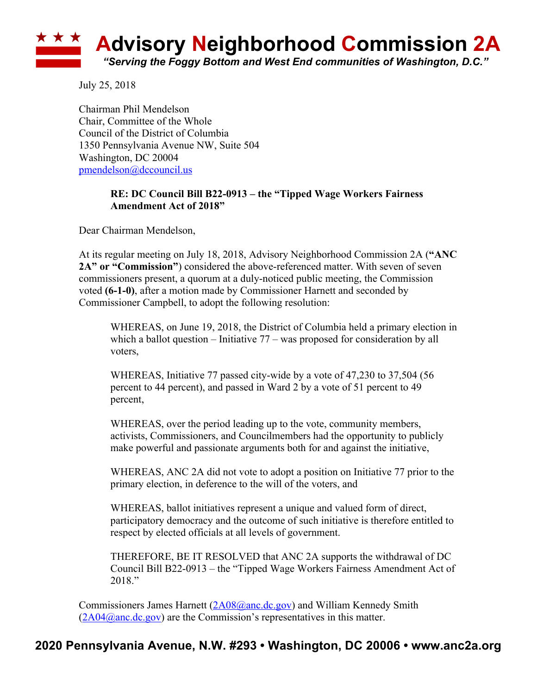

July 25, 2018

Chairman Phil Mendelson Chair, Committee of the Whole Council of the District of Columbia 1350 Pennsylvania Avenue NW, Suite 504 Washington, DC 20004 pmendelson@dccouncil.us

## **RE: DC Council Bill B22-0913 – the "Tipped Wage Workers Fairness Amendment Act of 2018"**

Dear Chairman Mendelson,

At its regular meeting on July 18, 2018, Advisory Neighborhood Commission 2A (**"ANC 2A" or "Commission"**) considered the above-referenced matter. With seven of seven commissioners present, a quorum at a duly-noticed public meeting, the Commission voted **(6-1-0)**, after a motion made by Commissioner Harnett and seconded by Commissioner Campbell, to adopt the following resolution:

WHEREAS, on June 19, 2018, the District of Columbia held a primary election in which a ballot question – Initiative 77 – was proposed for consideration by all voters,

WHEREAS, Initiative 77 passed city-wide by a vote of 47,230 to 37,504 (56 percent to 44 percent), and passed in Ward 2 by a vote of 51 percent to 49 percent,

WHEREAS, over the period leading up to the vote, community members, activists, Commissioners, and Councilmembers had the opportunity to publicly make powerful and passionate arguments both for and against the initiative,

WHEREAS, ANC 2A did not vote to adopt a position on Initiative 77 prior to the primary election, in deference to the will of the voters, and

WHEREAS, ballot initiatives represent a unique and valued form of direct, participatory democracy and the outcome of such initiative is therefore entitled to respect by elected officials at all levels of government.

THEREFORE, BE IT RESOLVED that ANC 2A supports the withdrawal of DC Council Bill B22-0913 – the "Tipped Wage Workers Fairness Amendment Act of 2018."

Commissioners James Harnett (2A08@anc.dc.gov) and William Kennedy Smith  $(2A04@anc.de.gov)$  are the Commission's representatives in this matter.